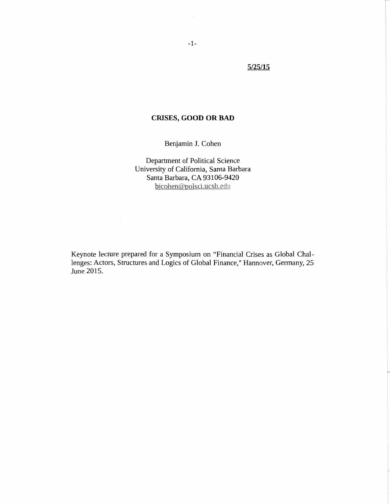# **5/25/15**

## **CRISES, GOOD OR BAD**

Benjamin J. Cohen

Department of Political Science University of California, Santa Barbara Santa Barbara, CA 93106-9420 bjcohen@polsci.ucsb.edu

Keynote lecture prepared for a Symposium on "Financial Crises as Global Challenges: Actors, Structures and Logics of Global Finance," Hannover, Germany, 25 June 2015.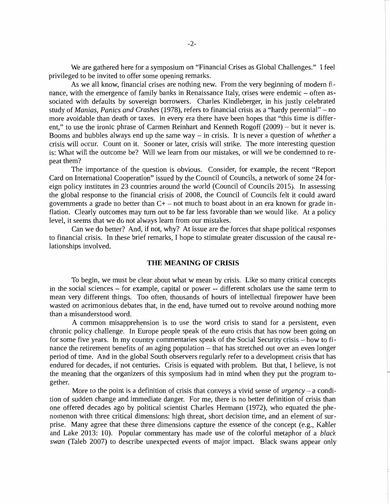We are gathered here for a symposium on "Financial Crises as Global Challenges." I feel privileged to be invited to offer some opening remarks.

As we all know, financial crises are nothing new. From the very beginning of modern finance, with the emergence of family banks in Renaissance Italy, crises were endemic - often associated with defaults by sovereign borrowers. Charles Kindleberger, in his justly celebrated study of *Manias, Panics and Crashes* (1978), refers to financial crisis as a "hardy perennial" – no more avoidable than death or taxes. In every era there have been hopes that "this time is different," to use the ironic phrase of Carmen Reinhart and Kenneth Rogoff (2009) - but it never is. Booms and bubbles always end up the same way - in crisis. It is never a question of *whether* a crisis will occur. Count on it. Sooner or later, crisis will strike. The more interesting question is: What will the outcome be? Will we learn from our mistakes, or will we be condemned to repeat them?

The importance of the question is obvious. Consider, for example, the recent "Report Card on International Cooperation" issued by the Council of Councils, a network of some 24 foreign policy institutes in 23 countries around the world (Council of Councils 2015). In assessing the global response to the financial crisis of 2008, the Council of Councils felt it could award governments a grade no better than  $C<sup>+</sup>$  – not much to boast about in an era known for grade inflation. Clearly outcomes may tum out to be far less favorable than we would like. At a policy level, it seems that we do not always learn from our mistakes.

Can we do better? And, if not, why? At issue are the forces that shape political responses to financial crisis. In these brief remarks, I hope to stimulate greater discussion of the causal relationships involved.

### **THE MEANING OF CRISIS**

To begin, we must be clear about what w mean by crisis. Like so many critical concepts in the social sciences – for example, capital or power -- different scholars use the same term to mean very different things. Too often, thousands of hours of intellectual firepower have been wasted on acrimonious debates that, in the end, have turned out to revolve around nothing more than a misunderstood word.

A common misapprehension is to use the word crisis to stand for a persistent, even chronic policy challenge. In Europe people speak of the euro crisis that has now been going on for some five years. In my country commentaries speak of the Social Security crisis – how to finance the retirement benefits of an aging population  $-$  that has stretched out over an even longer period of time. And in the global South observers regularly refer to a development crisis that has endured for decades, if not centuries. Crisis is equated with problem. But that, I believe, is not the meaning that the organizers of this symposium had in mind when they put the program together.

More to the point is a definition of crisis that conveys a vivid sense of *urgency* - a condition of sudden change and immediate danger. For me, there is no better definition of crisis than one offered decades ago by political scientist Charles Hermann (1972), who equated the phenomenon with three critical dimensions: high threat, short decision time, and an element of surprise. Many agree that these three dimensions capture the essence of the concept (e.g., Kahler and Lake 2013: 10). Popular commentary has made use of the colorful metaphor of a *black swan* (Taleb 2007) to describe unexpected events of major impact. Black swans appear only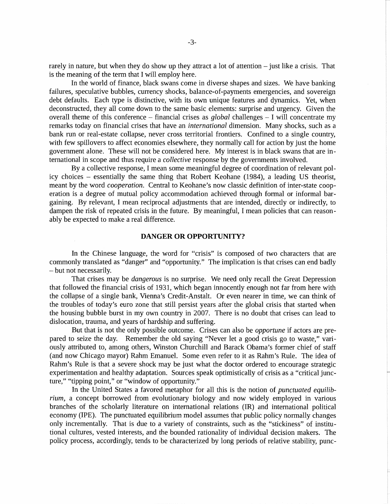rarely in nature, but when they do show up they attract a lot of attention  $-$  just like a crisis. That is the meaning of the term that I will employ here.

In the world of finance, black swans come in diverse shapes and sizes. We have banking failures, speculative bubbles, currency shocks, balance-of-payments emergencies, and sovereign debt defaults. Each type is distinctive, with its own unique features and dynamics. Yet, when deconstructed, they all come down to the same basic elements: surprise and urgency. Given the overall theme of this conference  $-$  financial crises as *global* challenges  $-$  I will concentrate my remarks today on financial crises that have an *international* dimension. Many shocks, such as a bank run or real-estate collapse, never cross territorial frontiers. Confined to a single country, with few spillovers to affect economies elsewhere, they normally call for action by just the home government alone. These will not be considered here. My interest is in black swans that are international in scope and thus require a *collective* response by the governments involved.

By a collective response, I mean some meaningful degree of coordination of relevant policy choices - essentially the same thing that Robert Keohane (1984), a leading US theorist, meant by the word *cooperation.* Central to Keohane's now classic definition of inter-state cooperation is a degree of mutual policy accommodation achieved through formal or informal bargaining. By relevant, I mean reciprocal adjustments that are intended, directly or indirectly, to dampen the risk of repeated crisis in the future. By meaningful, I mean policies that can reasonably be expected to make a real difference.

### **DANGER OR OPPORTUNITY?**

In the Chinese language, the word for "crisis" is composed of two characters that are commonly translated as "danger" and "opportunity." The implication is that crises can end badly - but not necessarily.

That crises may be *dangerous* is no surprise. We need only recall the Great Depression that followed the financial crisis of 1931, which began innocently enough not far from here with the collapse of a single bank, Vienna's Credit-Anstalt. Or even nearer in time, we can think of the troubles of today's euro zone that still persist years after the global crisis that started when the housing bubble burst in my own country in 2007. There is no doubt that crises can lead to dislocation, trauma, and years of hardship and suffering.

But that is not the only possible outcome. Crises can also be *opportune* if actors are prepared to seize the day. Remember the old saying "Never let a good crisis go to waste," variously attributed to, among others, Winston Churchill and Barack Obama's former chief of staff (and now Chicago mayor) Rahm Emanuel. Some even refer to it as Rahm's Rule. The idea of Rahm's Rule is that a severe shock may be just what the doctor ordered to encourage strategic experimentation and healthy adaptation. Sources speak optimistically of crisis as a "critical juncture," "tipping point," or "window of opportunity."

In the United States a favored metaphor for all this is the notion of *punctuated equilibrium,* a concept borrowed from evolutionary biology and now widely employed in various branches of the scholarly literature on international relations (IR) and international political economy (IPE). The punctuated equilibrium model assumes that public policy normally changes only incrementally. That is due to a variety of constraints, such as the "stickiness" of institutional cultures, vested interests, and the bounded rationality of individual decision makers. The policy process, accordingly, tends to be characterized by long periods of relative stability, punc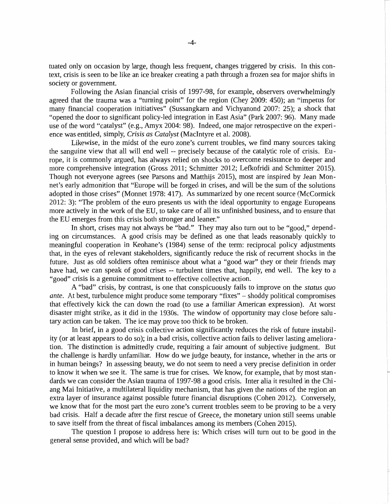tuated only on occasion by large, though less frequent, changes triggered by crisis. In this context, crisis is seen to be like an ice breaker creating a path through a frozen sea for major shifts in society or government.

Following the Asian financial crisis of 1997-98, for example, observers overwhelmingly agreed that the trauma was a "turning point" for the region (Chey 2009: 450); an "impetus for many financial cooperation initiatives" (Sussangkarn and Vichyanond 2007: 25); a shock that "opened the door to significant policy-led integration in East Asia" (Park 2007: 96). Many made use of the word "catalyst" (e.g., Amyx 2004: 98). Indeed, one major retrospective on the experience was entitled, simply, *Crisis as Catalyst* (Macintyre et al. 2008).

Likewise, in the midst of the euro zone's current troubles, we find many sources taking the sanguine view that all will end well -- precisely because of the catalytic role of crisis. Europe, it is commonly argued, has always relied on shocks to overcome resistance to deeper and more comprehensive integration (Gross 2011; Schmitter 2012; Lefkofridi and Schmitter 2015). Though not everyone agrees (see Parsons and Matthijs 2015), most are inspired by Jean Mannet's early admonition that "Europe will be forged in crises, and will be the sum of the solutions adopted in those crises" (Monnet 1978: 417). As summarized by one recent source (McCormick 2012: 3): "The problem of the euro presents us with the ideal opportunity to engage Europeans more actively in the work of the EU, to take care of all its unfinished business, and to ensure that the EU emerges from this crisis both stronger and leaner."

In short, crises may not always be "bad." They may also turn out to be "good," depending on circumstances. A good crisis may be defined as one that leads reasonably quickly to meaningful cooperation in Keohane's (1984) sense of the term: reciprocal policy adjustments that, in the eyes of relevant stakeholders, significantly reduce the risk of recurrent shocks in the future. Just as old soldiers often reminisce about what a "good war" they or their friends may have had, we can speak of good crises -- turbulent times that, happily, end well. The key to a "good" crisis is a genuine commitment to effective collective action.

A "bad" crisis, by contrast, is one that conspicuously fails to improve on the *status quo ante.* At best, turbulence might produce some temporary "fixes"- shoddy political compromises that effectively kick the can down the road (to use a familiar American expression). At worst disaster might strike, as it did in the 1930s. The window of opportunity may close before salutary action can be taken. The ice may prove too thick to be broken.

In brief, in a good crisis collective action significantly reduces the risk of future instability (or at least appears to do so); in a bad crisis, collective action fails to deliver lasting amelioration. The distinction is admittedly crude, requiring a fair amount of subjective judgment. But the challenge is hardly unfamiliar. How do we judge beauty, for instance, whether in the arts or in human beings? In assessing beauty, we do not seem to need a very precise definition in order to know it when we see it. The same is true for crises. We know, for example, that by most standards we can consider the Asian trauma of 1997-98 a good crisis. Inter alia it resulted in the Chiang Mai Initiative, a multilateral liquidity mechanism, that has given the nations of the region an extra layer of insurance against possible future financial disruptions (Cohen 2012). Conversely, we know that for the most part the euro zone's current troubles seem to be proving to be a very bad crisis. Half a decade after the first rescue of Greece, the monetary union still seems unable to save itself from the threat of fiscal imbalances among its members (Cohen 2015).

The question I propose to address here is: Which crises will turn out to be good in the general sense provided, and which will be bad?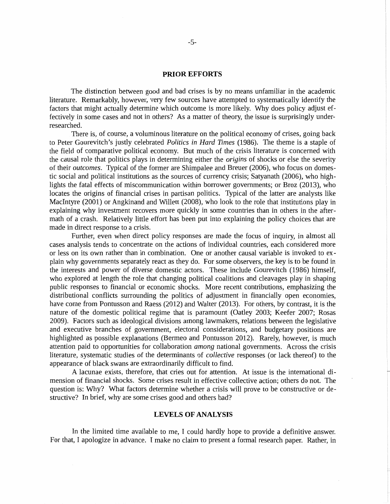#### **PRIOR EFFORTS**

The distinction between good and bad crises is by no means unfamiliar in the academic literature. Remarkably, however, very few sources have attempted to systematically identify the factors that might actually determine which outcome is more likely. Why does policy adjust effectively in some cases and not in others? As a matter of theory, the issue is surprisingly underresearched.

There is, of course, a voluminous literature on the political economy of crises, going back to Peter Gourevitch's justly celebrated *Politics in Hard Times* (1986). The theme is a staple of the field of comparative political economy. But much of the crisis literature is concerned with the causal role that politics plays in determining either the *origins* of shocks or else the severity of their *outcomes.* Typical of the former are Shimpalee and Breuer (2006), who focus on domestic social and political institutions as the sources of currency crisis; Satyanath (2006), who highlights the fatal effects of miscommunication within borrower governments; or Broz (2013), who locates the origins of financial crises in partisan politics. Typical of the latter are analysts like Macintyre (2001) or Angkinand and Willett (2008), who look to the role that institutions play in explaining why investment recovers more quickly in some countries than in others in the aftermath of a crash. Relatively little effort has been put into explaining the policy choices that are made in direct response to a crisis.

Further, even when direct policy responses are made the focus of inquiry, in almost all cases analysis tends to concentrate on the actions of individual countries, each considered more or less on its own rather than in combination. One or another causal variable is invoked to explain why governments separately react as they do. For some observers, the key is to be found in the interests and power of diverse domestic actors. These include Gourevitch (1986) himself, who explored at length the role that changing political coalitions and cleavages play in shaping public responses to financial or economic shocks. More recent contributions, emphasizing the distributional conflicts surrounding the politics of adjustment in financially open economies, have come from Pontusson and Raess (2012) and Walter (2013). For others, by contrast, it is the nature of the domestic political regime that is paramount (Oatley 2003; Keefer 2007; Rosas 2009). Factors such as ideological divisions among lawmakers, relations between the legislative and executive branches of government, electoral considerations, and budgetary positions are highlighted as possible explanations (Bermeo and Pontusson 2012). Rarely, however, is much attention paid to opportunities for collaboration *among* national governments. Across the crisis literature, systematic studies of the determinants of *collective* responses (or lack thereof) to the appearance of black swans are extraordinarily difficult to find.

A lacunae exists, therefore, that cries out for attention. At issue is the international dimension of financial shocks. Some crises result in effective collective action; others do not. The question is: Why? What factors determine whether a crisis will prove to be constructive or destructive? In brief, why are some crises good and others bad?

#### **LEVELS OF ANALYSIS**

In the limited time available to me, I could hardly hope to provide a definitive answer. For that, I apologize in advance. I make no claim to present a formal research paper. Rather, in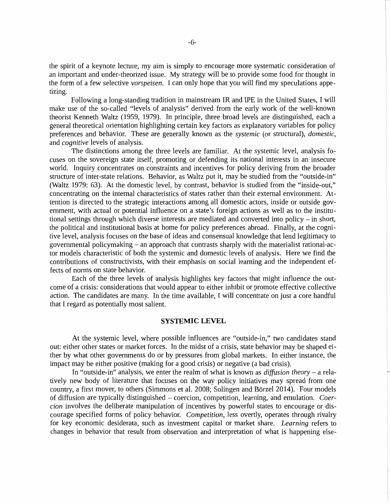the spirit of a keynote lecture, my aim is simply to encourage more systematic consideration of an important and under-theorized issue. My strategy will be to provide some food for thought in the form of a few selective *vorspeisen.* I can only hope that you will find my speculations appetizing.

Following a long-standing tradition in mainstream IR and IPE in the United States, I will make use of the so-called "levels of analysis" derived from the early work of the well-known theorist Kenneth Waltz (1959, 1979). In principle, three broad levels are distinguished, each a general theoretical orientation highlighting certain key factors as explanatory variables for policy preferences and behavior. These are generally known as the *systemic* (or structural), *domestic,*  and *cognitive* levels of analysis.

The distinctions among the three levels are familiar. At the systemic level, analysis focuses on the sovereign state itself, promoting or defending its national interests in an insecure world. Inquiry concentrates on constraints and incentives for policy deriving from the broader structure of inter-state relations. Behavior, as Waltz put it, may be studied from the "outside-in" (Waltz 1979: 63). At the domestic level, by contrast, behavior is studied from the "inside-out," concentrating on the internal characteristics of states rather than their external environment. Attention is directed to the strategic interactions among all domestic actors, inside or outside government, with actual or potential influence on a state's foreign actions as well as to the institutional settings through which diverse interests are mediated and converted into policy - in short, the political and institutional basis at home for policy preferences abroad. Finally, at the cognitive level, analysis focuses on the base of ideas and consensual knowledge that lend legitimacy to governmental policymaking- an approach that contrasts sharply with the materialist rational-actor models characteristic of both the systemic and domestic levels of analysis. Here we find the contributions of constructivists, with their emphasis on social learning and the independent effects of norms on state behavior.

Each of the three levels of analysis highlights key factors that might influence the outcome of a crisis: considerations that would appear to either inhibit or promote effective collective action. The candidates are many. In the time available, I will concentrate on just a core handful that I regard as potentially most salient.

#### **SYSTEMIC LEVEL**

At the systemic level, where possible influences are "outside-in," two candidates stand out: either other states or market forces. In the midst of a crisis, state behavior may be shaped either by what other governments do or by pressures from global markets. In either instance, the impact may be either positive (making for a good crisis) or negative (a bad crisis).

In "outside-in" analysis, we enter the realm of what is known as *diffusion theory-* a relatively new body of literature that focuses on the way policy initiatives may spread from one country, a first mover, to others (Simmons et al. 2008; Solingen and Borzel 2014). Four models of diffusion are typically distinguished - coercion, competition, learning, and emulation. *Coercion* involves the deliberate manipulation of incentives by powerful states to encourage or discourage specified forms of policy behavior. *Competition,* less overtly, operates through rivalry for key economic desiderata, such as investment capital or market share. *Learning* refers to changes in behavior that result from observation and interpretation of what is happening else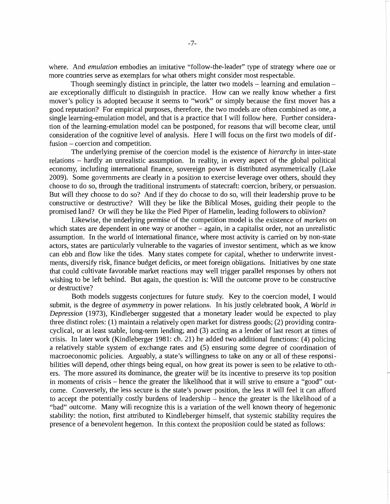where. And *emulation* embodies an imitative "follow-the-leader" type of strategy where one or more countries serve as exemplars for what others might consider most respectable.

Though seemingly distinct in principle, the latter two models  $-$  learning and emulation  $$ are exceptionally difficult to distinguish in practice. How can we really know whether a first mover's policy is adopted because it seems to "work" or simply because the first mover has a good reputation? For empirical purposes, therefore, the two models are often combined as one, a single learning-emulation model, and that is a practice that I will follow here. Further consideration of the learning-emulation model can be postponed, for reasons that will become clear, until consideration of the cognitive level of analysis. Here I will focus on the first two models of diffusion – coercion and competition.

The underlying premise of the coercion model is the existence of *hierarchy* in inter-state relations - hardly an unrealistic assumption. In reality, in every aspect of the global political economy, including international finance, sovereign power is distributed asymmetrically (Lake 2009). Some governments are clearly in a position to exercise leverage over others, should they choose to do so, through the traditional instruments of statecraft: coercion, bribery, or persuasion. But will they choose to do so? And if they do choose to do so, will their leadership prove to be constructive or destructive? Will they be like the Biblical Moses, guiding their people to the promised land? Or will they be like the Pied Piper of Hamelin, leading followers to oblivion?

Likewise, the underlying premise of the competition model is the existence of *markets* on which states are dependent in one way or another - again, in a capitalist order, not an unrealistic assumption. In the world of international finance, where most activity is carried on by non-state actors, states are particularly vulnerable to the vagaries of investor sentiment, which as we know can ebb and flow like the tides. Many states compete for capital, whether to underwrite investments, diversify risk, finance budget deficits, or meet foreign obligations. Initiatives by one state that could cultivate favorable market reactions may well trigger parallel responses by others not wishing to be left behind. But again, the question is: Will the outcome prove to be constructive or destructive?

Both models suggests conjectures for future study. Key to the coercion model, I would submit, is the degree of *asymmetry* in power relations. In his justly celebrated book, *A World in Depression* (1973), Kindleberger suggested that a monetary leader would be expected to play three distinct roles: (1) maintain a relatively open market for distress goods; (2) providing contracyclical, or at least stable, long-term lending; and (3) acting as a lender of last resort at times of crisis. In later work (Kindleberger 1981: ch. 21) he added two additional functions: (4) policing a relatively stable system of exchange rates and (5) ensuring some degree of coordination of macroeconomic policies. Arguably, a state's willingness to take on any or all of these responsibilities will depend, other things being equal, on how great its power is seen to be relative to others. The more assured its dominance, the greater will be its incentive to preserve its top position in moments of crisis - hence the greater the likelihood that it will strive to ensure a "good" outcome. Conversely, the less secure is the state's power position, the less it will feel it can afford to accept the potentially costly burdens of leadership  $-$  hence the greater is the likelihood of a "bad" outcome. Many will recognize this is a variation of the well known theory of hegemonic stability: the notion, first attributed to Kindleberger himself, that systemic stability requires the presence of a benevolent hegemon. In this context the proposition could be stated as follows: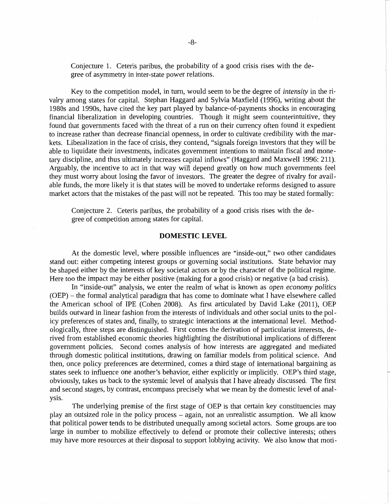Conjecture 1. Ceteris paribus, the probability of a good crisis rises with the degree of asymmetry in inter-state power relations.

Key to the competition model, in turn, would seem to be the degree of *intensity* in the rivalry among states for capital. Stephan Haggard and Sylvia Maxfield (1996), writing about the 1980s and 1990s, have cited the key part played by balance-of-payments shocks in encouraging financial liberalization in developing countries. Though it might seem counterintuitive, they found that governments faced with the threat of a run on their currency often found it expedient to increase rather than decrease financial openness, in order to cultivate credibility with the markets. Liberalization in the face of crisis, they contend, "signals foreign investors that they will be able to liquidate their investments, indicates government intentions to maintain fiscal and monetary discipline, and thus ultimately increases capital inflows" (Haggard and Maxwell 1996: 211). Arguably, the incentive to act in that way will depend greatly on how much governments feel they must worry about losing the favor of investors. The greater the degree of rivalry for available funds, the more likely it is that states will be moved to undertake reforms designed to assure market actors that the mistakes of the past will not be repeated. This too may be stated formally:

Conjecture 2. Ceteris paribus, the probability of a good crisis rises with the degree of competition among states for capital.

## **DOMESTIC LEVEL**

At the domestic level, where possible influences are "inside-out," two other candidates stand out: either competing interest groups or governing social institutions. State behavior may be shaped either by the interests of key societal actors or by the character of the political regime. Here too the impact may be either positive (making for a good crisis) or negative (a bad crisis).

In "inside-out" analysis, we enter the realm of what is known as *open economy politics*  (OEP)- the formal analytical paradigm that has come to dominate what I have elsewhere called the American school of IPE (Cohen 2008). As first articulated by David Lake (2011), OEP builds outward in linear fashion from the interests of individuals and other social units to the policy preferences of states and, finally, to strategic interactions at the international level. Methodologically, three steps are distinguished. First comes the derivation of particularist interests, derived from established economic theories highlighting the distributional implications of different government policies. Second comes analysis of how interests are aggregated and mediated through domestic political institutions, drawing on familiar models from political science. And then, once policy preferences are determined, comes a third stage of international bargaining as states seek to influence one another's behavior, either explicitly or implicitly. OEP's third stage, obviously, takes us back to the systemic level of analysis that I have already discussed. The first and second stages, by contrast, encompass precisely what we mean by the domestic level of analysis.

The underlying premise of the first stage of OEP is that certain key constituencies may play an outsized role in the policy process – again, not an unrealistic assumption. We all know that political power tends to be distributed unequally among societal actors. Some groups are too large in number to mobilize effectively to defend or promote their collective interests; others may have more resources at their disposal to support lobbying activity. We also know that moti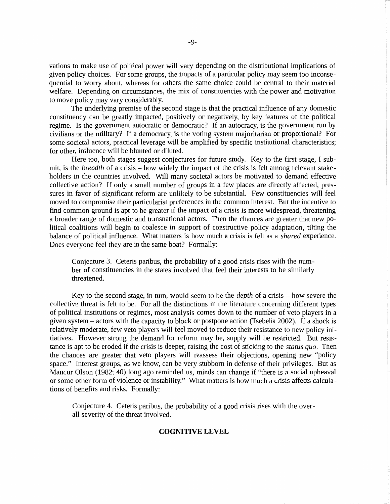vations to make use of political power will vary depending on the distributional implications of given policy choices. For some groups, the impacts of a particular policy may seem too inconsequential to worry about, whereas for others the same choice could be central to their material welfare. Depending on circumstances, the mix of constituencies with the power and motivation to move policy may vary considerably.

The underlying premise of the second stage is that the practical influence of any domestic constituency can be greatly impacted, positively or negatively, by key features of the political regime. Is the government autocratic or democratic? If an autocracy, is the government run by civilians or the military? If a democracy, is the voting system majoritarian or proportional? For some societal actors, practical leverage will be amplified by specific institutional characteristics; for other, influence will be blunted or diluted.

Here too, both stages suggest conjectures for future study. Key to the first stage, I submit, is the *breadth* of a crisis – how widely the impact of the crisis is felt among relevant stakeholders in the countries involved. Will many societal actors be motivated to demand effective collective action? If only a small number of groups in a few places are directly affected, pressures in favor of significant reform are unlikely to be substantial. Few constituencies will feel moved to compromise their particularist preferences in the common interest. But the incentive to find common ground is apt to be greater if the impact of a crisis is more widespread, threatening a broader range of domestic and transnational actors. Then the chances are greater that new political coalitions will begin to coalesce in support of constructive policy adaptation, tilting the balance of political influence. What matters is how much a crisis is felt as a *shared* experience. Does everyone feel they are in the same boat? Formally:

Conjecture 3. Ceteris paribus, the probability of a good crisis rises with the number of constituencies in the states involved that feel their interests to be similarly threatened.

Key to the second stage, in turn, would seem to be the *depth* of a crisis – how severe the collective threat is felt to be. For all the distinctions in the literature concerning different types of political institutions or regimes, most analysis comes down to the number of veto players in a given system - actors with the capacity to block or postpone action (Tsebelis 2002). If a shock is relatively moderate, few veto players will feel moved to reduce their resistance to new policy initiatives. However strong the demand for reform may be, supply will be restricted. But resistance is apt to be eroded if the crisis is deeper, raising the cost of sticking to the *status quo.* Then the chances are greater that veto players will reassess their objections, opening new "policy space." Interest groups, as we know, can be very stubborn in defense of their privileges. But as Mancur Olson (1982: 40) long ago reminded us, minds can change if "there is a social upheaval or some other form of violence or instability." What matters is how much a crisis affects calculations of benefits and risks. Formally:

Conjecture 4. Ceteris paribus, the probability of a good crisis rises with the overall severity of the threat involved.

### **COGNITIVE LEVEL**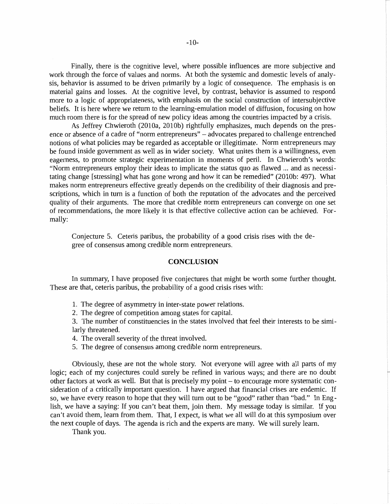Finally, there is the cognitive level, where possible influences are more subjective and work through the force of values and norms. At both the systemic and domestic levels of analysis, behavior is assumed to be driven primarily by a logic of consequence. The emphasis is on material gains and losses. At the cognitive level, by contrast, behavior is assumed to respond more to a logic of appropriateness, with emphasis on the social construction of intersubjective beliefs. It is here where we return to the learning-emulation model of diffusion, focusing on how much room there is for the spread of new policy ideas among the countries impacted by a crisis.

As Jeffrey Chwieroth (2010a, 2010b) rightfully emphasizes, much depends on the presence or absence of a cadre of "norm entrepreneurs" - advocates prepared to challenge entrenched notions of what policies may be regarded as acceptable or illegitimate. Norm entrepreneurs may be found inside government as well as in wider society. What unites them is a willingness, even eagerness, to promote strategic experimentation in moments of peril. In Chwieroth's words: "Norm entrepreneurs employ their ideas to implicate the status quo as flawed ... and as necessitating change [stressing] what has gone wrong and how it can be remedied" (2010b: 497). What makes norm entrepreneurs effective greatly depends on the credibility of their diagnosis and prescriptions, which in turn is a function of both the reputation of the advocates and the perceived quality of their arguments. The more that credible norm entrepreneurs can converge on one set of recommendations, the more likely it is that effective collective action can be achieved. Formally:

Conjecture 5. Ceteris paribus, the probability of a good crisis rises with the degree of consensus among credible norm entrepreneurs.

#### **CONCLUSION**

In summary, I have proposed five conjectures that might be worth some further thought. These are that, ceteris paribus, the probability of a good crisis rises with:

- 1. The degree of asymmetry in inter-state power relations.
- 2. The degree of competition among states for capital.

3. The number of constituencies in the states involved that feel their interests to be similarly threatened.

4. The overall severity of the threat involved.

5. The degree of consensus among credible norm entrepreneurs.

Obviously, these are not the whole story. Not everyone will agree with all parts of my logic; each of my conjectures could surely be refined in various ways; and there are no doubt other factors at work as well. But that is precisely my point – to encourage more systematic consideration of a critically important question. I have argued that financial crises are endemic. If so, we have every reason to hope that they will turn out to be "good" rather than "bad." In English, we have a saying: If you can't beat them, join them. My message today is similar. If you can't avoid them, learn from them. That, I expect, is what we all will do at this symposium over the next couple of days. The agenda is rich and the experts are many. We will surely learn.

Thank you.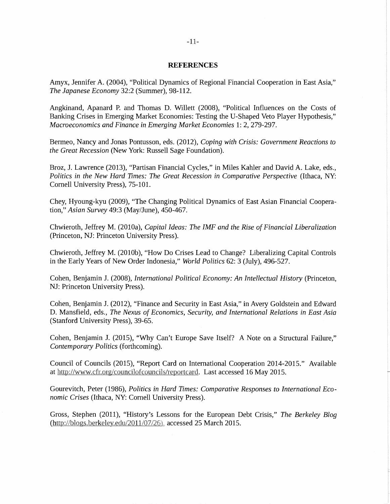#### **REFERENCES**

Amyx, Jennifer A. (2004), "Political Dynamics of Regional Financial Cooperation in East Asia," *The Japanese Economy* 32:2 (Summer), 98-112.

Angkinand, Apanard P. and Thomas D. Willett (2008), "Political Influences on the Costs of Banking Crises in Emerging Market Economies: Testing the U-Shaped Veto Player Hypothesis," *Macroeconomics and Finance in Emerging Market Economies* 1: 2, 279-297.

Bermea, Nancy and Jonas Pontusson, eds. (2012), *Coping with Crisis: Government Reactions to the Great Recession* (New York: Russell Sage Foundation).

Broz, J. Lawrence (2013), "Partisan Financial Cycles," in Miles Kahler and David A. Lake, eds., *Politics in the New Hard Times: The Great Recession in Comparative Perspective (Ithaca, NY:* Cornell University Press), 75-101.

Chey, Hyoung-kyu (2009), "The Changing Political Dynamics of East Asian Financial Cooperation," *Asian Survey* 49:3 (May/June), 450-467.

Chwieroth, Jeffrey M. (2010a), *Capital Ideas: The IMF and the Rise of Financial Liberalization*  (Princeton, NJ: Princeton University Press).

Chwieroth, Jeffrey M. (2010b), "How Do Crises Lead to Change? Liberalizing Capital Controls in the Early Years of New Order Indonesia," *World Politics* 62: 3 (July), 496-527.

Cohen, Benjamin J. (2008), *International Political Economy: An Intellectual History* (Princeton, NJ: Princeton University Press).

Cohen, Benjamin J. (2012), "Finance and Security in East Asia," in Avery Goldstein and Edward D. Mansfield, eds., *The Nexus of Economics, Security, and International Relations in East Asia*  (Stanford University Press), 39-65.

Cohen, Benjamin J. (2015), "Why Can't Europe Save Itself? A Note on a Structural Failure," *Contemporary Politics* (forthcoming).

Council of Councils (2015), "Report Card on International Cooperation 2014-2015." Available at http://www.cfr.org/councilofcouncils/reportcard. Last accessed 16 May 2015.

Gourevitch, Peter (1986), *Politics in Hard Times: Comparative Responses to International Economic Crises* (Ithaca, NY: Cornell University Press).

Gross, Stephen (2011), "History's Lessons for the European Debt Crisis," *The Berkeley Blog*  (http://blogs.berkeley.edu/2011/07/26), accessed 25 March 2015.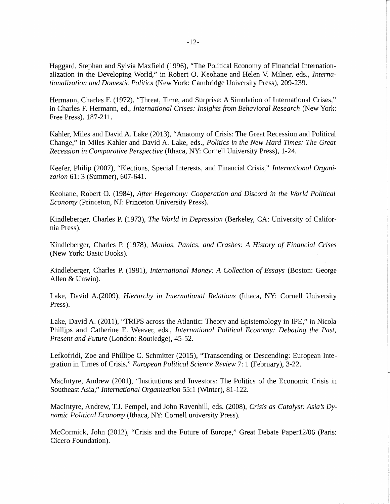Haggard, Stephan and Sylvia Maxfield (1996), "The Political Economy of Financial Internationalization in the Developing World," in Robert 0. Keohane and Helen V. Milner, eds., *Internationalization and Domestic Politics* (New York: Cambridge University Press), 209-239.

Hermann, Charles F. (1972), "Threat, Time, and Surprise: A Simulation of International Crises," in Charles F. Hermann, ed., *International Crises: Insights from Behavioral Research* (New York: Free Press), 187-211.

Kahler, Miles and David A. Lake (2013), "Anatomy of Crisis: The Great Recession and Political Change," in Miles Kahler and David A. Lake, eds., *Politics in the New Hard Times: The Great Recession in Comparative Perspective* (Ithaca, NY: Cornell University Press), 1-24.

Keefer, Philip (2007), "Elections, Special Interests, and Financial Crisis," *International Organization* 61: 3 (Summer), 607-641.

Keohane, Robert 0. (1984), *After Hegemony: Cooperation and Discord in the World Political Economy* (Princeton, NJ: Princeton University Press).

Kindleberger, Charles P. (1973), *The World in Depression* (Berkeley, CA: University of California Press).

Kindleberger, Charles P. (1978), *Manias, Panics, and Crashes: A History of Financial Crises*  (New York: Basic Books).

Kindleberger, Charles P. (1981), *International Money: A Collection of Essays* (Boston: George Allen & Unwin).

Lake, David A.(2009), *Hierarchy in International Relations* (Ithaca, NY: Cornell University Press).

Lake, David A. (2011), "TRIPS across the Atlantic: Theory and Epistemology in IPE," in Nicola Phillips and Catherine E. Weaver, eds., *International Political Economy: Debating the Past, Present and Future* (London: Routledge), 45-52.

Lefkofridi, Zoe and Phillipe C. Schmitter (2015), "Transcending or Descending: European Integration in Times of Crisis," *European Political Science Review* 7: 1 (February), 3-22.

Macintyre, Andrew (2001), "Institutions and Investors: The Politics of the Economic Crisis in Southeast Asia," *International Organization* 55:1 (Winter), 81-122.

MacIntyre, Andrew, T.J. Pempel, and John Ravenhill, eds. (2008), *Crisis as Catalyst: Asia's Dynamic Political Economy* (Ithaca, NY: Cornell university Press).

McCormick, John (2012), "Crisis and the Future of Europe," Great Debate Paper12/06 (Paris: Cicero Foundation).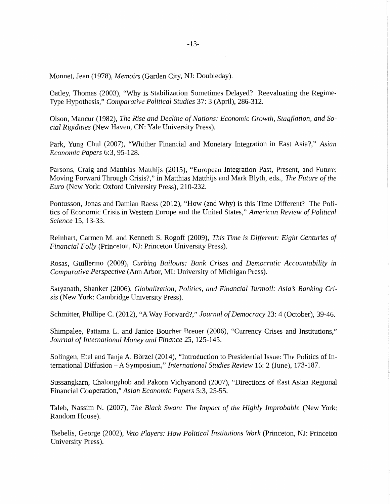-13-

Monnet, Jean (1978), *Memoirs* (Garden City, NJ: Doubleday).

Oatley, Thomas (2003), "Why is Stabilization Sometimes Delayed? Reevaluating the Regime-Type Hypothesis," *Comparative Political Studies* 37: 3 (April), 286-312.

Olson, Mancur (1982), *The Rise and Decline of Nations: Economic Growth, Stagflation, and Social Rigidities* (New Haven, CN: Yale University Press).

Park, Yung Chul (2007), "Whither Financial and Monetary Integration in East Asia?," *Asian Economic Papers* 6:3, 95-128.

Parsons, Craig and Matthias Matthijs (2015), "European Integration Past, Present, and Future: Moving Forward Through Crisis?," in Matthias Matthijs and Mark Blyth, eds., *The Future of the Euro* (New York: Oxford University Press), 210-232.

Pontusson, Jonas and Damian Raess (2012), "How (and Why) is this Time Different? The Politics of Economic Crisis in Western Europe and the United States," *American Review of Political Science* 15, 13-33.

Reinhart, Carmen M. and Kenneth S. Rogoff (2009), *This Time is Different: Eight Centuries of Financial Folly* (Princeton, NJ: Princeton University Press).

Rosas, Guillermo (2009), *Curbing Bailouts: Bank Crises and Democratic Accountability in Comparative Perspective* (Ann Arbor, MI: University of Michigan Press).

Satyanath, Shanker (2006), *Globalization, Politics, and Financial Turmoil: Asia* s *Banking Crisis* (New York: Cambridge University Press).

Schmitter, Phillipe C. (2012), "A Way Forward?," *Journal of Democracy* 23: 4 (October), 39-46.

Shimpalee, Pattama L. and Janice Boucher Breuer (2006), "Currency Crises and Institutions," *Journal of International Money and Finance* 25, 125-145.

Solingen, Etel and Tanja A. Borzel (2014), "Introduction to Presidential Issue: The Politics of International Diffusion -A Symposium," *International Studies Review* 16: 2 (June), 173-187.

Sussangkarn, Chalongphob and Pakorn Vichyanond (2007), "Directions of East Asian Regional Financial Cooperation," *Asian Economic Papers* 5:3, 25-55.

Taleb, Nassim N. (2007), *The Black Swan: The Impact of the Highly Improbable* (New York: Random House).

Tsebelis, George (2002), *Veto Players: How Political Institutions Work* (Princeton, NJ: Princeton University Press).